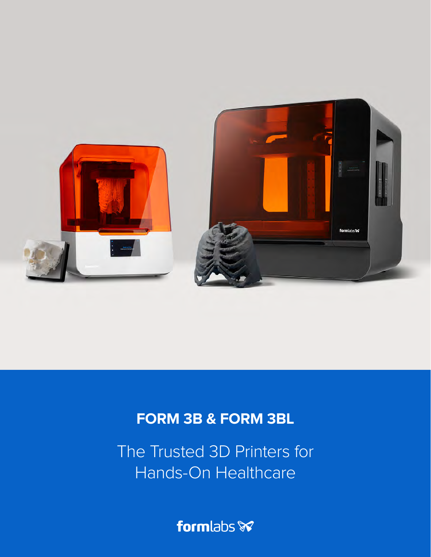

# **FORM 3B & FORM 3BL**

The Trusted 3D Printers for Hands-On Healthcare

formlabs **x**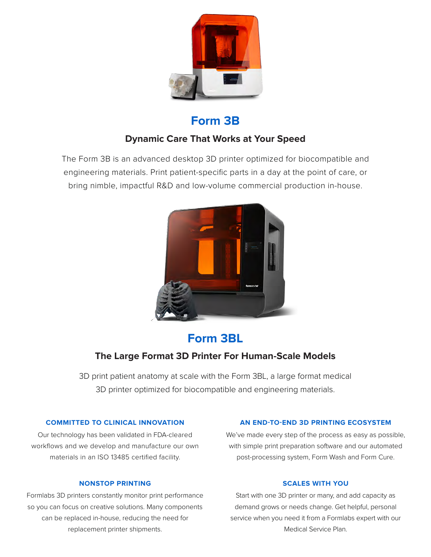

## **Form 3B**

### **Dynamic Care That Works at Your Speed**

The Form 3B is an advanced desktop 3D printer optimized for biocompatible and engineering materials. Print patient-specific parts in a day at the point of care, or bring nimble, impactful R&D and low-volume commercial production in-house.



# **Form 3BL**

### **The Large Format 3D Printer For Human-Scale Models**

3D print patient anatomy at scale with the Form 3BL, a large format medical 3D printer optimized for biocompatible and engineering materials.

#### **COMMITTED TO CLINICAL INNOVATION**

Our technology has been validated in FDA-cleared workflows and we develop and manufacture our own materials in an ISO 13485 certified facility.

#### **NONSTOP PRINTING**

Formlabs 3D printers constantly monitor print performance so you can focus on creative solutions. Many components can be replaced in-house, reducing the need for replacement printer shipments.

#### **AN END-TO-END 3D PRINTING ECOSYSTEM**

We've made every step of the process as easy as possible, with simple print preparation software and our automated post-processing system, Form Wash and Form Cure.

#### **SCALES WITH YOU**

Start with one 3D printer or many, and add capacity as demand grows or needs change. Get helpful, personal service when you need it from a Formlabs expert with our Medical Service Plan.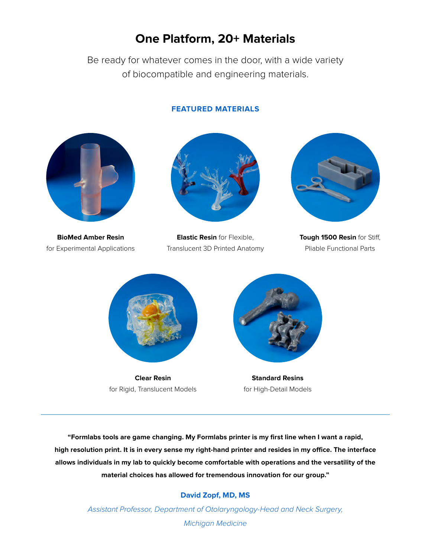## **One Platform, 20+ Materials**

Be ready for whatever comes in the door, with a wide variety of biocompatible and engineering materials.

#### **FEATURED MATERIALS**



**BioMed Amber Resin** for Experimental Applications



**Elastic Resin** for Flexible, Translucent 3D Printed Anatomy



**Tough 1500 Resin** for Stiff, Pliable Functional Parts



**Clear Resin** for Rigid, Translucent Models



**Standard Resins** for High-Detail Models

**"Formlabs tools are game changing. My Formlabs printer is my first line when I want a rapid, high resolution print. It is in every sense my right-hand printer and resides in my office. The interface allows individuals in my lab to quickly become comfortable with operations and the versatility of the material choices has allowed for tremendous innovation for our group."**

#### **David Zopf, MD, MS**

Assistant Professor, Department of Otolaryngology-Head and Neck Surgery, Michigan Medicine